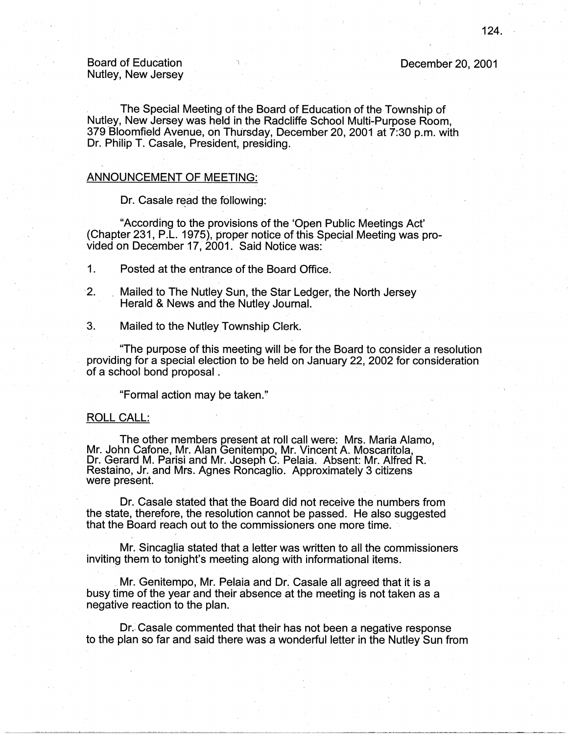## Board of Education Nutley, New Jersey

The Special Meeting of the Board of Education of the Township of Nutley, New Jersey was held in the Radcliffe School Multi-Purpose Room, 379 Bloomfield Avenue, on Thursday, December 20, 2001 at 7:30 p.m. with Dr. Philip T. Casale, President, presiding.

## ANNOUNCEMENT OF MEETING:

Dr. Casale read the following:

"According to the provisions of the 'Open Public Meetings Act' (Chapter 231, P.L. 1975), proper notice of this Special Meeting was provided on December 17, 2001. Said Notice was:

1. Posted at the entrance of the Board Office.

- ·2. Mailed to The Nutley Sun, the Star Ledger, the North Jersey Herald & News and the Nutley Journal.
- 3. Mailed to the Nutley Township Clerk.

"The purpose of this meeting will be for the Board to consider a resolution providing for a special election to be held on January 22, 2002 for consideration of a school bond proposal.

"Formal action may be taken."

## ROLL CALL:

The other members present at roll call were: Mrs. Maria Alamo, Mr. John Cafone, Mr. Alan Genitempo, Mr. Vincent A. Moscaritola, Dr. Gerard M. Parisi and Mr. Joseph C. Pelaia. Absent: Mr. Alfred R. Restaino, Jr. and Mrs. Agnes Roncaglio. Approximately 3 citizens were present.

Dr. Casale stated that the Board did not receive the numbers from the state, therefore, the resolution cannot be passed. He also suggested that the Board reach out to the commissioners one more time. ·

Mr. Sincaglia stated that a letter was written to all the commissioners inviting them to tonight's meeting along with informational items .

. Mr. Genitempo, Mr. Pelaia and Dr. Casale all agreed that it is a busy time of the year and their absence at the meeting is not taken as a negative reaction to the plan.

Dr. Casale commented that their has not been a negative response to the plan so far and said there was a wonderful letter in the Nutley Sun from